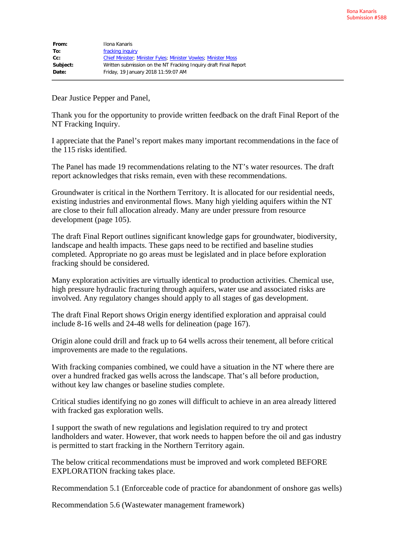| From:    | Ilona Kanaris                                                         |
|----------|-----------------------------------------------------------------------|
| To:      | fracking inquiry                                                      |
| $Cc$ :   | <b>Chief Minister; Minister Fyles; Minister Vowles; Minister Moss</b> |
| Subject: | Written submission on the NT Fracking Inquiry draft Final Report      |
| Date:    | Friday, 19 January 2018 11:59:07 AM                                   |

Dear Justice Pepper and Panel,

Thank you for the opportunity to provide written feedback on the draft Final Report of the NT Fracking Inquiry.

I appreciate that the Panel's report makes many important recommendations in the face of the 115 risks identified.

The Panel has made 19 recommendations relating to the NT's water resources. The draft report acknowledges that risks remain, even with these recommendations.

Groundwater is critical in the Northern Territory. It is allocated for our residential needs, existing industries and environmental flows. Many high yielding aquifers within the NT are close to their full allocation already. Many are under pressure from resource development (page 105).

The draft Final Report outlines significant knowledge gaps for groundwater, biodiversity, landscape and health impacts. These gaps need to be rectified and baseline studies completed. Appropriate no go areas must be legislated and in place before exploration fracking should be considered.

Many exploration activities are virtually identical to production activities. Chemical use, high pressure hydraulic fracturing through aquifers, water use and associated risks are involved. Any regulatory changes should apply to all stages of gas development.

The draft Final Report shows Origin energy identified exploration and appraisal could include 8-16 wells and 24-48 wells for delineation (page 167).

Origin alone could drill and frack up to 64 wells across their tenement, all before critical improvements are made to the regulations.

With fracking companies combined, we could have a situation in the NT where there are over a hundred fracked gas wells across the landscape. That's all before production, without key law changes or baseline studies complete.

Critical studies identifying no go zones will difficult to achieve in an area already littered with fracked gas exploration wells.

I support the swath of new regulations and legislation required to try and protect landholders and water. However, that work needs to happen before the oil and gas industry is permitted to start fracking in the Northern Territory again.

The below critical recommendations must be improved and work completed BEFORE EXPLORATION fracking takes place.

Recommendation 5.1 (Enforceable code of practice for abandonment of onshore gas wells)

Recommendation 5.6 (Wastewater management framework)